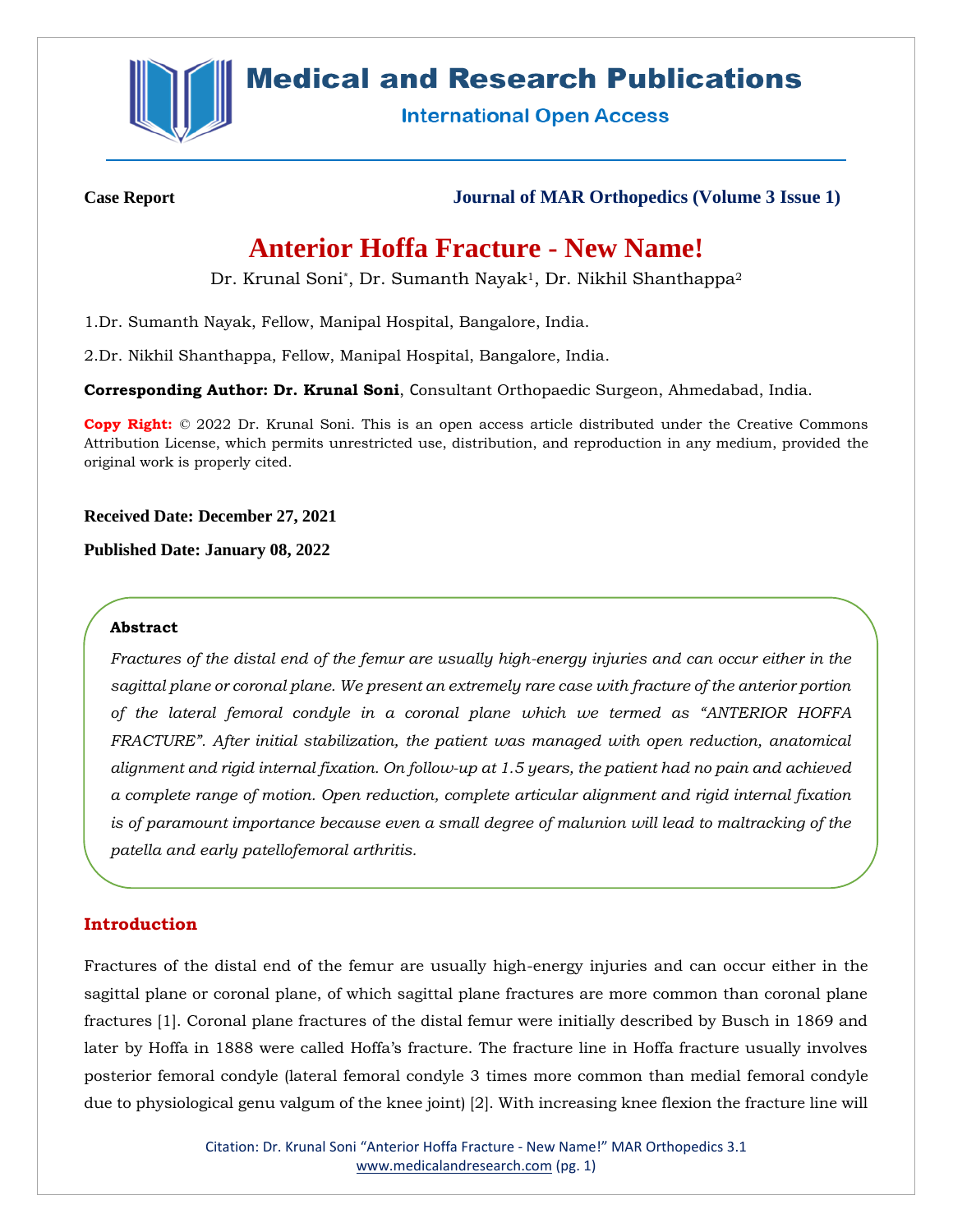

# **Medical and Research Publications**

**International Open Access** 

**Case Report Journal of MAR Orthopedics (Volume 3 Issue 1)**

# **Anterior Hoffa Fracture - New Name!**

Dr. Krunal Soni\*, Dr. Sumanth Nayak<sup>1</sup>, Dr. Nikhil Shanthappa<sup>2</sup>

1.Dr. Sumanth Nayak, Fellow, Manipal Hospital, Bangalore, India.

2.Dr. Nikhil Shanthappa, Fellow, Manipal Hospital, Bangalore, India.

**Corresponding Author: Dr. Krunal Soni**, Consultant Orthopaedic Surgeon, Ahmedabad, India.

**Copy Right:** © 2022 Dr. Krunal Soni. This is an open access article distributed under the Creative Commons Attribution License, which permits unrestricted use, distribution, and reproduction in any medium, provided the original work is properly cited.

**Received Date: December 27, 2021**

**Published Date: January 08, 2022**

### **Abstract**

*Fractures of the distal end of the femur are usually high-energy injuries and can occur either in the sagittal plane or coronal plane. We present an extremely rare case with fracture of the anterior portion of the lateral femoral condyle in a coronal plane which we termed as "ANTERIOR HOFFA FRACTURE". After initial stabilization, the patient was managed with open reduction, anatomical alignment and rigid internal fixation. On follow-up at 1.5 years, the patient had no pain and achieved a complete range of motion. Open reduction, complete articular alignment and rigid internal fixation is of paramount importance because even a small degree of malunion will lead to maltracking of the patella and early patellofemoral arthritis.*

# **Introduction**

Fractures of the distal end of the femur are usually high-energy injuries and can occur either in the sagittal plane or coronal plane, of which sagittal plane fractures are more common than coronal plane fractures [1]. Coronal plane fractures of the distal femur were initially described by Busch in 1869 and later by Hoffa in 1888 were called Hoffa's fracture. The fracture line in Hoffa fracture usually involves posterior femoral condyle (lateral femoral condyle 3 times more common than medial femoral condyle due to physiological genu valgum of the knee joint) [2]. With increasing knee flexion the fracture line will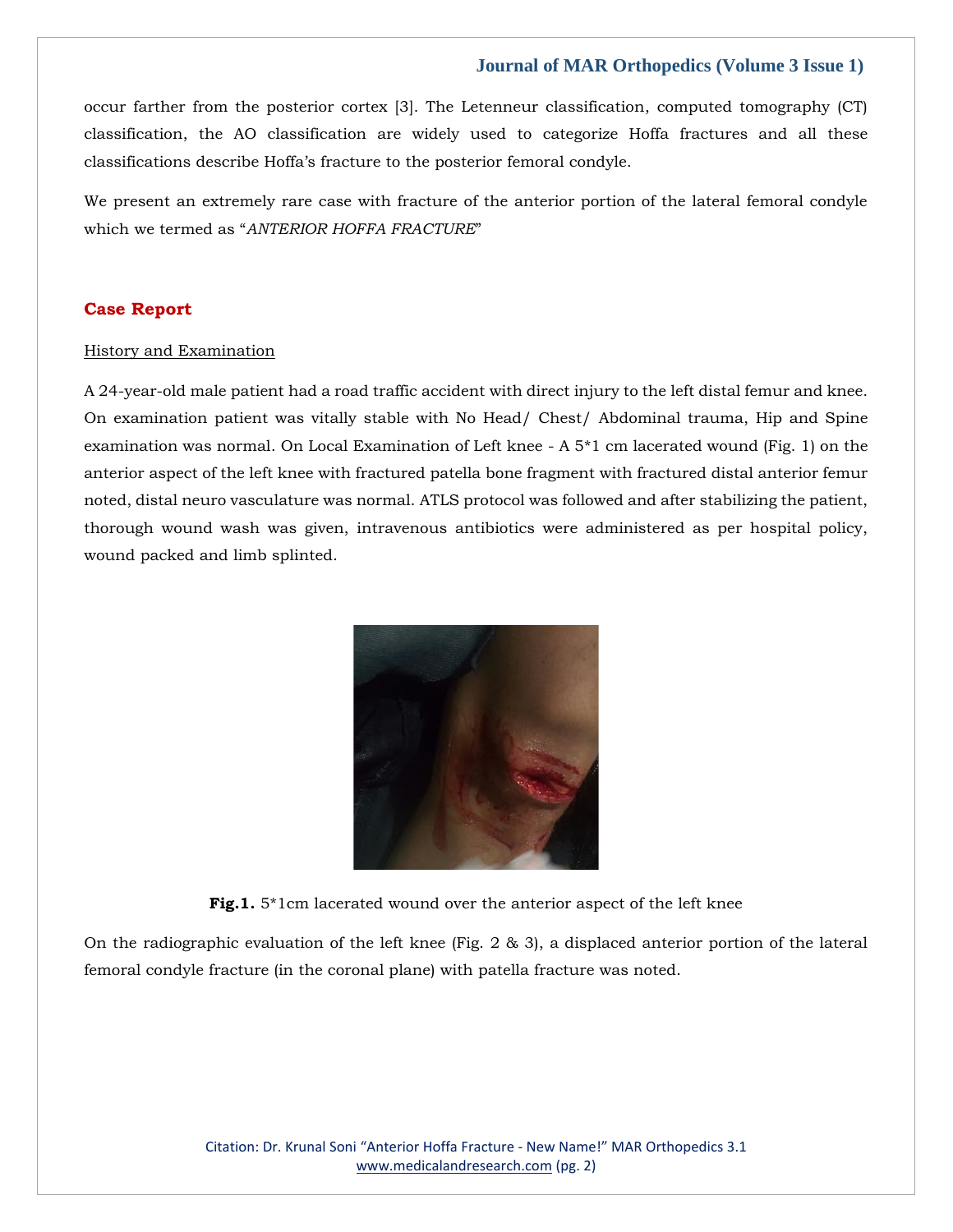occur farther from the posterior cortex [3]. The Letenneur classification, computed tomography (CT) classification, the AO classification are widely used to categorize Hoffa fractures and all these classifications describe Hoffa's fracture to the posterior femoral condyle.

We present an extremely rare case with fracture of the anterior portion of the lateral femoral condyle which we termed as "*ANTERIOR HOFFA FRACTURE*"

#### **Case Report**

#### History and Examination

A 24-year-old male patient had a road traffic accident with direct injury to the left distal femur and knee. On examination patient was vitally stable with No Head/ Chest/ Abdominal trauma, Hip and Spine examination was normal. On Local Examination of Left knee - A 5\*1 cm lacerated wound (Fig. 1) on the anterior aspect of the left knee with fractured patella bone fragment with fractured distal anterior femur noted, distal neuro vasculature was normal. ATLS protocol was followed and after stabilizing the patient, thorough wound wash was given, intravenous antibiotics were administered as per hospital policy, wound packed and limb splinted.



**Fig.1.** 5\*1cm lacerated wound over the anterior aspect of the left knee

On the radiographic evaluation of the left knee (Fig. 2 & 3), a displaced anterior portion of the lateral femoral condyle fracture (in the coronal plane) with patella fracture was noted.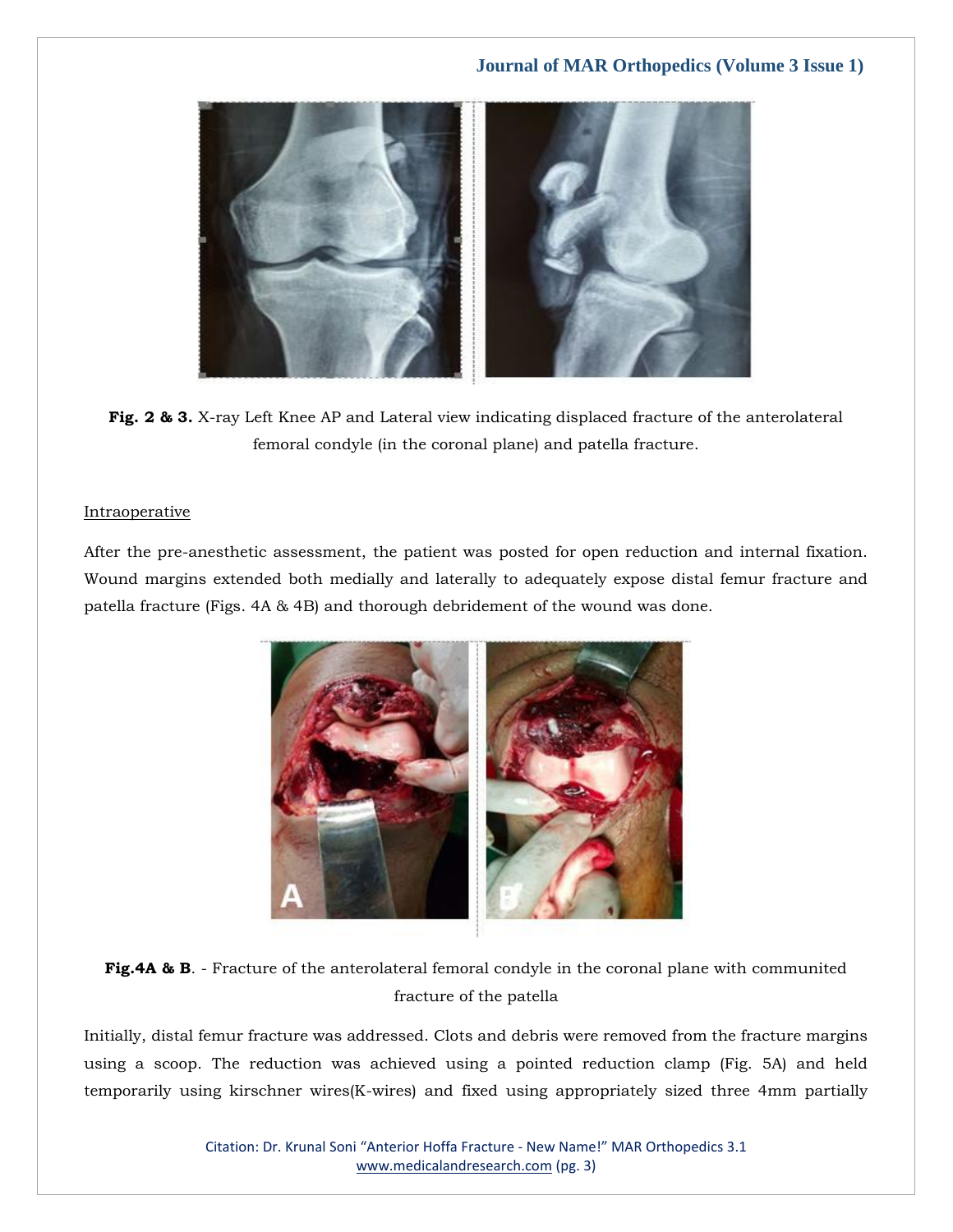

**Fig. 2 & 3.** X-ray Left Knee AP and Lateral view indicating displaced fracture of the anterolateral femoral condyle (in the coronal plane) and patella fracture.

#### **Intraoperative**

After the pre-anesthetic assessment, the patient was posted for open reduction and internal fixation. Wound margins extended both medially and laterally to adequately expose distal femur fracture and patella fracture (Figs. 4A & 4B) and thorough debridement of the wound was done.



**Fig.4A & B.** - Fracture of the anterolateral femoral condyle in the coronal plane with communited fracture of the patella

Initially, distal femur fracture was addressed. Clots and debris were removed from the fracture margins using a scoop. The reduction was achieved using a pointed reduction clamp (Fig. 5A) and held temporarily using kirschner wires(K-wires) and fixed using appropriately sized three 4mm partially

> Citation: Dr. Krunal Soni "Anterior Hoffa Fracture - New Name!" MAR Orthopedics 3.1 [www.medicalandresearch.com](http://www.medicalandresearch.com/) (pg. 3)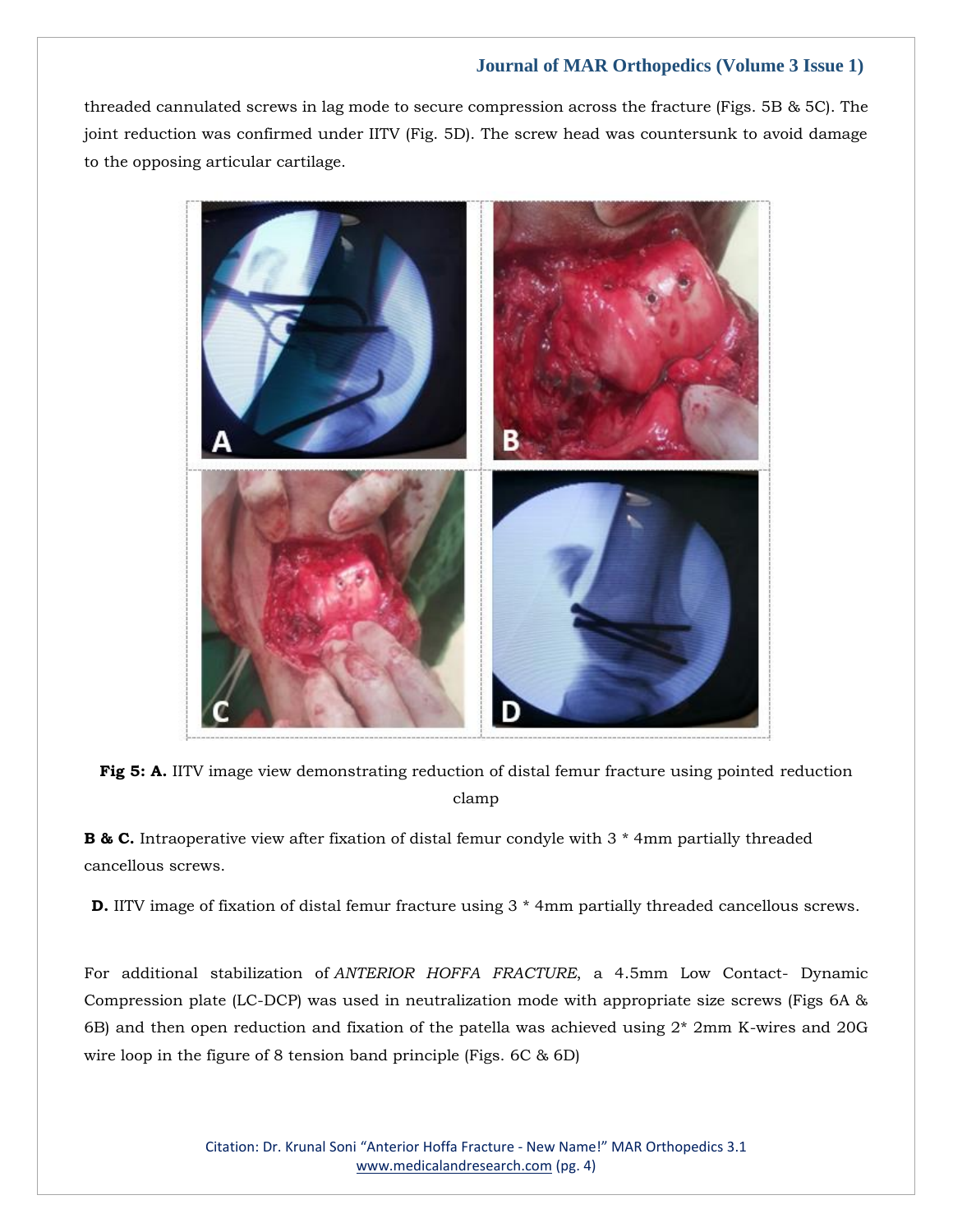threaded cannulated screws in lag mode to secure compression across the fracture (Figs. 5B & 5C). The joint reduction was confirmed under IITV (Fig. 5D). The screw head was countersunk to avoid damage to the opposing articular cartilage.



**Fig 5: A.** IITV image view demonstrating reduction of distal femur fracture using pointed reduction clamp

**B & C.** Intraoperative view after fixation of distal femur condyle with 3  $*$  4mm partially threaded cancellous screws.

**D.** IITV image of fixation of distal femur fracture using 3  $*$  4mm partially threaded cancellous screws.

For additional stabilization of *ANTERIOR HOFFA FRACTURE*, a 4.5mm Low Contact- Dynamic Compression plate (LC-DCP) was used in neutralization mode with appropriate size screws (Figs 6A & 6B) and then open reduction and fixation of the patella was achieved using 2\* 2mm K-wires and 20G wire loop in the figure of 8 tension band principle (Figs. 6C & 6D)

> Citation: Dr. Krunal Soni "Anterior Hoffa Fracture - New Name!" MAR Orthopedics 3.1 [www.medicalandresearch.com](http://www.medicalandresearch.com/) (pg. 4)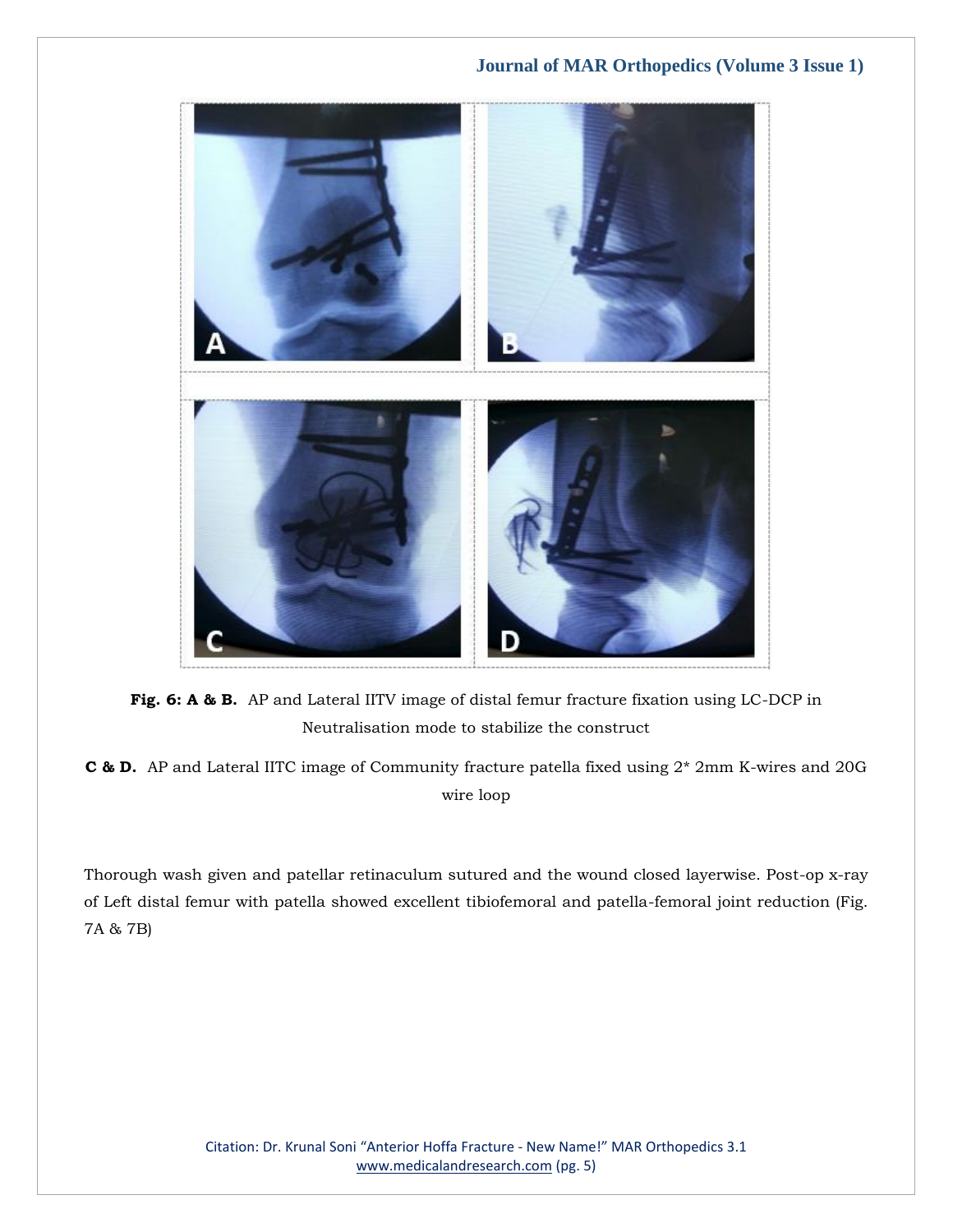

**Fig. 6: A & B.** AP and Lateral IITV image of distal femur fracture fixation using LC-DCP in Neutralisation mode to stabilize the construct

**C & D.** AP and Lateral IITC image of Community fracture patella fixed using 2\* 2mm K-wires and 20G wire loop

Thorough wash given and patellar retinaculum sutured and the wound closed layerwise. Post-op x-ray of Left distal femur with patella showed excellent tibiofemoral and patella-femoral joint reduction (Fig. 7A & 7B)

> Citation: Dr. Krunal Soni "Anterior Hoffa Fracture - New Name!" MAR Orthopedics 3.1 [www.medicalandresearch.com](http://www.medicalandresearch.com/) (pg. 5)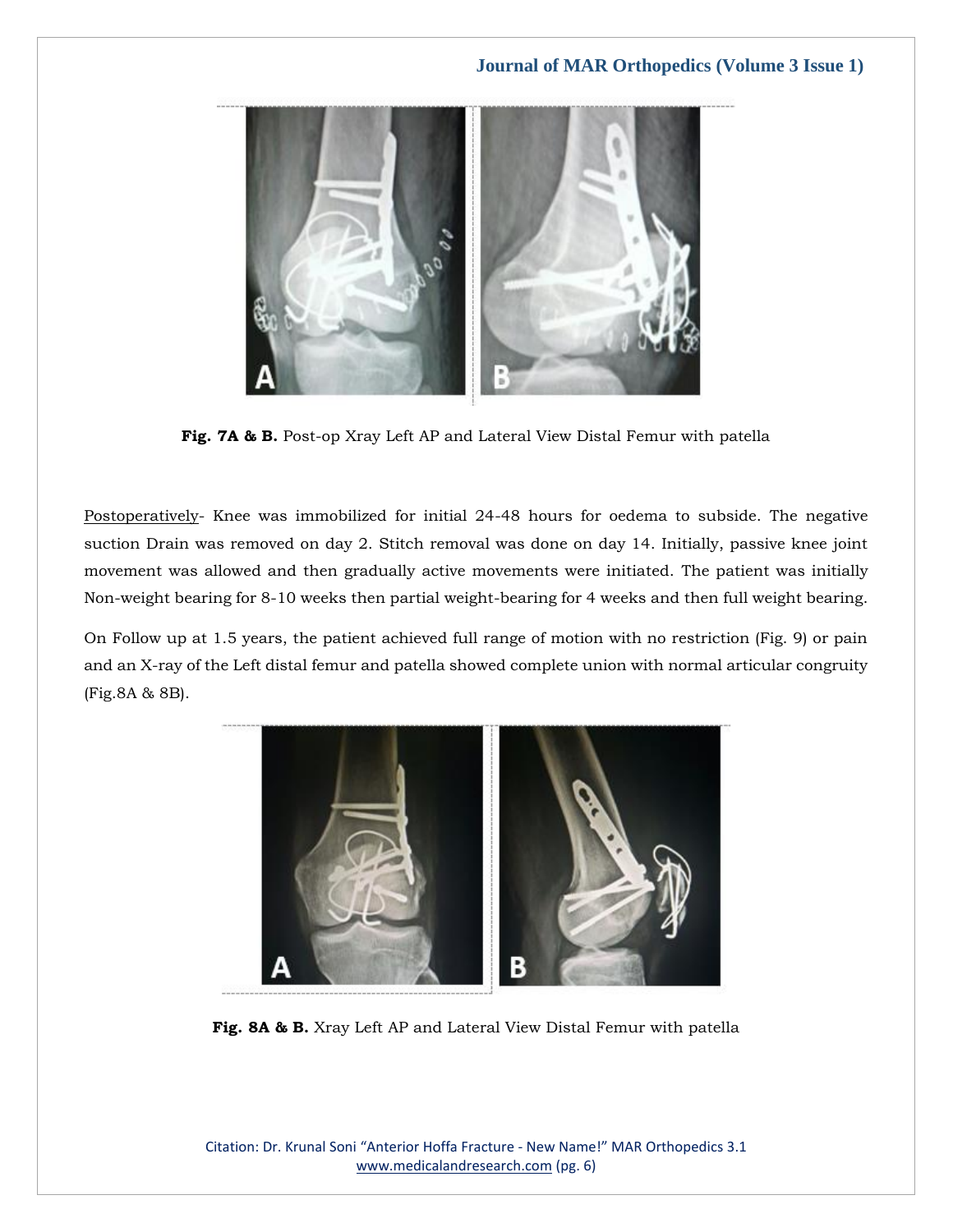

**Fig. 7A & B.** Post-op Xray Left AP and Lateral View Distal Femur with patella

Postoperatively- Knee was immobilized for initial 24-48 hours for oedema to subside. The negative suction Drain was removed on day 2. Stitch removal was done on day 14. Initially, passive knee joint movement was allowed and then gradually active movements were initiated. The patient was initially Non-weight bearing for 8-10 weeks then partial weight-bearing for 4 weeks and then full weight bearing.

On Follow up at 1.5 years, the patient achieved full range of motion with no restriction (Fig. 9) or pain and an X-ray of the Left distal femur and patella showed complete union with normal articular congruity (Fig.8A & 8B).



**Fig. 8A & B.** Xray Left AP and Lateral View Distal Femur with patella

Citation: Dr. Krunal Soni "Anterior Hoffa Fracture - New Name!" MAR Orthopedics 3.1 [www.medicalandresearch.com](http://www.medicalandresearch.com/) (pg. 6)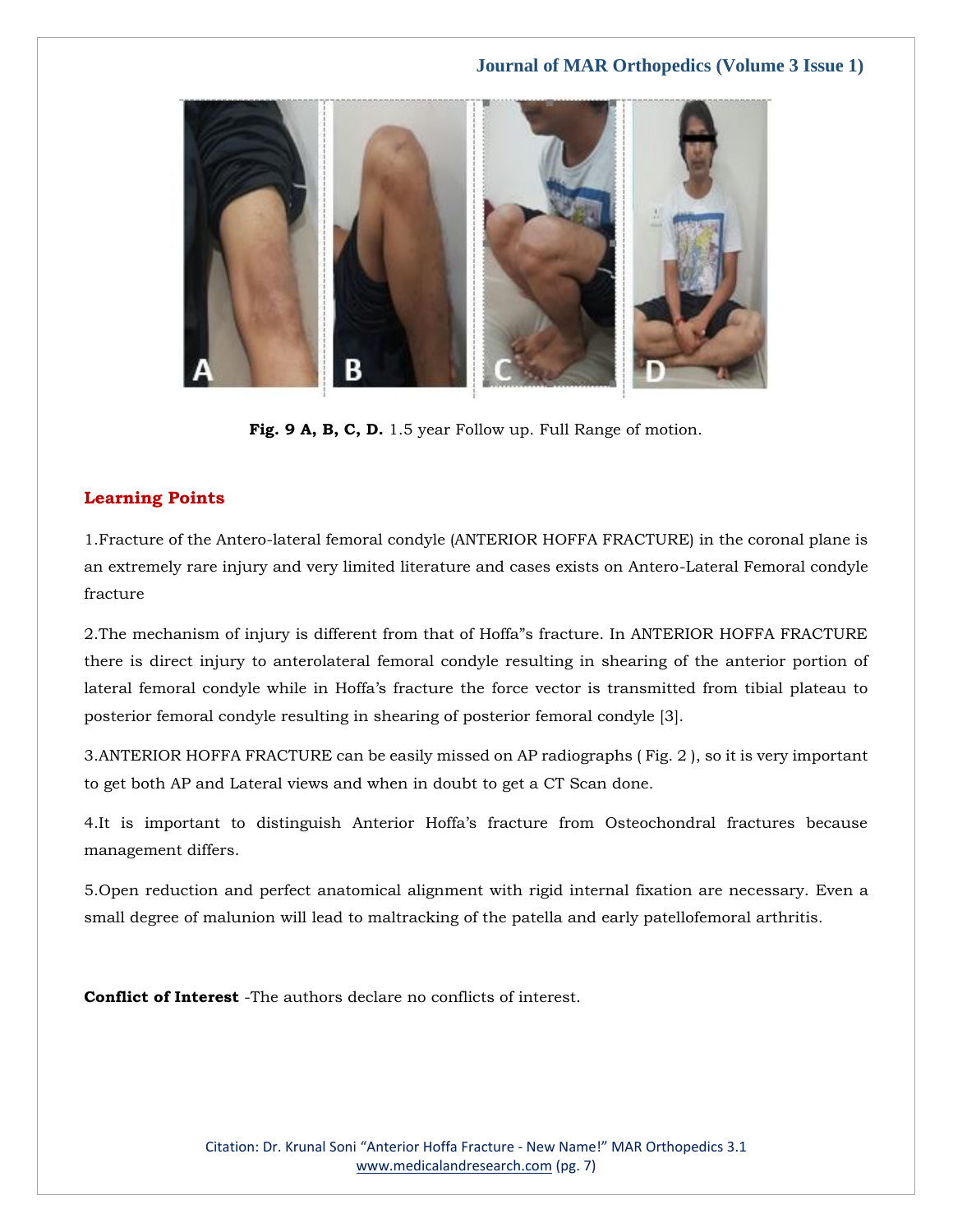

**Fig. 9 A, B, C, D.** 1.5 year Follow up. Full Range of motion.

## **Learning Points**

1.Fracture of the Antero-lateral femoral condyle (ANTERIOR HOFFA FRACTURE) in the coronal plane is an extremely rare injury and very limited literature and cases exists on Antero-Lateral Femoral condyle fracture

2.The mechanism of injury is different from that of Hoffa"s fracture. In ANTERIOR HOFFA FRACTURE there is direct injury to anterolateral femoral condyle resulting in shearing of the anterior portion of lateral femoral condyle while in Hoffa's fracture the force vector is transmitted from tibial plateau to posterior femoral condyle resulting in shearing of posterior femoral condyle [3].

3.ANTERIOR HOFFA FRACTURE can be easily missed on AP radiographs ( Fig. 2 ), so it is very important to get both AP and Lateral views and when in doubt to get a CT Scan done.

4.It is important to distinguish Anterior Hoffa's fracture from Osteochondral fractures because management differs.

5.Open reduction and perfect anatomical alignment with rigid internal fixation are necessary. Even a small degree of malunion will lead to maltracking of the patella and early patellofemoral arthritis.

**Conflict of Interest** -The authors declare no conflicts of interest.